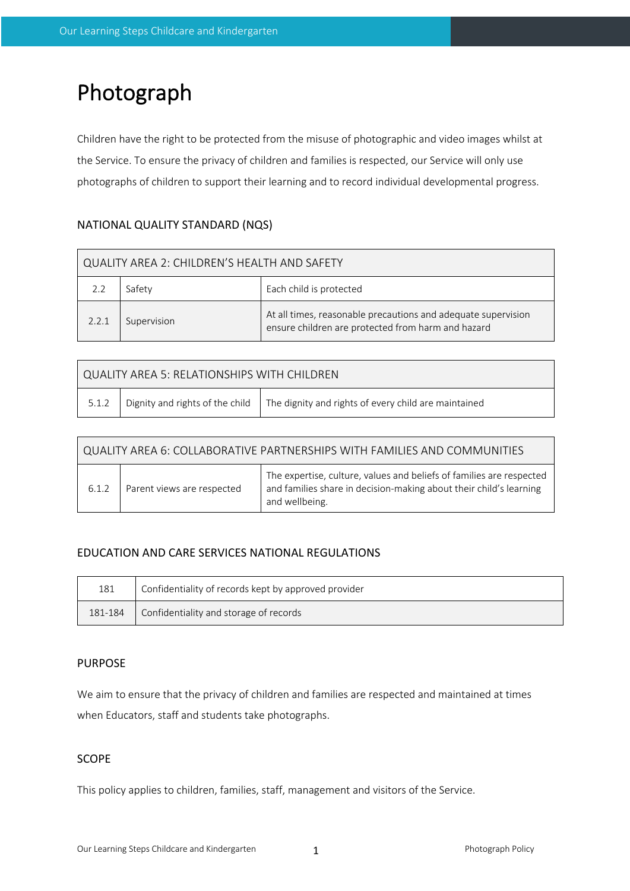# Photograph

Children have the right to be protected from the misuse of photographic and video images whilst at the Service. To ensure the privacy of children and families is respected, our Service will only use photographs of children to support their learning and to record individual developmental progress.

## NATIONAL QUALITY STANDARD (NQS)

| QUALITY AREA 2: CHILDREN'S HEALTH AND SAFETY |             |                                                                                                                     |  |  |  |
|----------------------------------------------|-------------|---------------------------------------------------------------------------------------------------------------------|--|--|--|
|                                              | Safety      | Each child is protected                                                                                             |  |  |  |
| 2.2.1                                        | Supervision | At all times, reasonable precautions and adequate supervision<br>ensure children are protected from harm and hazard |  |  |  |

| QUALITY AREA 5: RELATIONSHIPS WITH CHILDREN |  |                                                                                                |  |  |  |
|---------------------------------------------|--|------------------------------------------------------------------------------------------------|--|--|--|
|                                             |  | 5.1.2   Dignity and rights of the child   The dignity and rights of every child are maintained |  |  |  |

| QUALITY AREA 6: COLLABORATIVE PARTNERSHIPS WITH FAMILIES AND COMMUNITIES |                            |                                                                                                                                                              |  |  |  |
|--------------------------------------------------------------------------|----------------------------|--------------------------------------------------------------------------------------------------------------------------------------------------------------|--|--|--|
| 6.1.2                                                                    | Parent views are respected | The expertise, culture, values and beliefs of families are respected<br>and families share in decision-making about their child's learning<br>and wellbeing. |  |  |  |

## EDUCATION AND CARE SERVICES NATIONAL REGULATIONS

| 181     | Confidentiality of records kept by approved provider |
|---------|------------------------------------------------------|
| 181-184 | Confidentiality and storage of records               |

## PURPOSE

We aim to ensure that the privacy of children and families are respected and maintained at times when Educators, staff and students take photographs.

## **SCOPE**

This policy applies to children, families, staff, management and visitors of the Service.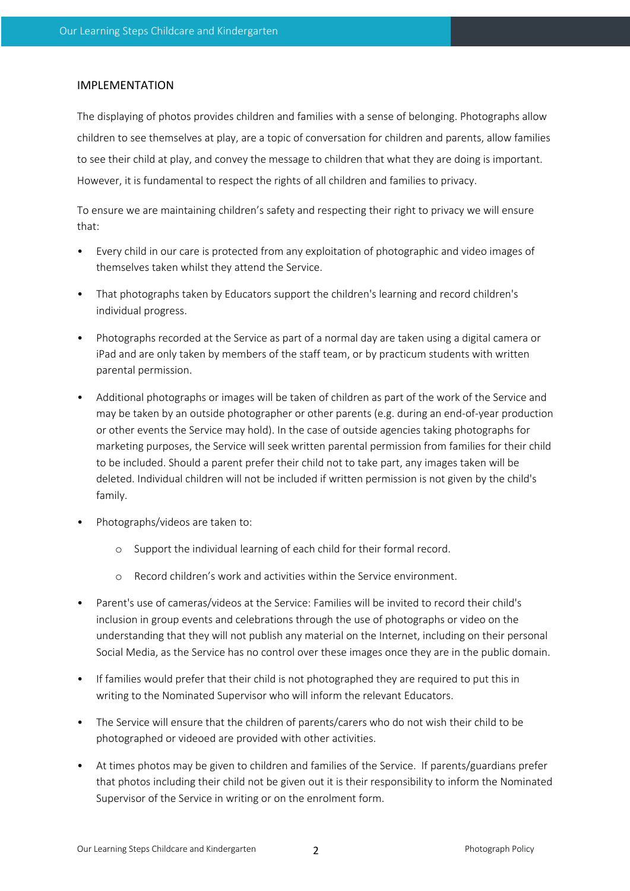### IMPLEMENTATION

The displaying of photos provides children and families with a sense of belonging. Photographs allow children to see themselves at play, are a topic of conversation for children and parents, allow families to see their child at play, and convey the message to children that what they are doing is important. However, it is fundamental to respect the rights of all children and families to privacy.

To ensure we are maintaining children's safety and respecting their right to privacy we will ensure that:

- Every child in our care is protected from any exploitation of photographic and video images of themselves taken whilst they attend the Service.
- That photographs taken by Educators support the children's learning and record children's individual progress.
- Photographs recorded at the Service as part of a normal day are taken using a digital camera or iPad and are only taken by members of the staff team, or by practicum students with written parental permission.
- Additional photographs or images will be taken of children as part of the work of the Service and may be taken by an outside photographer or other parents (e.g. during an end-of-year production or other events the Service may hold). In the case of outside agencies taking photographs for marketing purposes, the Service will seek written parental permission from families for their child to be included. Should a parent prefer their child not to take part, any images taken will be deleted. Individual children will not be included if written permission is not given by the child's family.
- Photographs/videos are taken to:
	- o Support the individual learning of each child for their formal record.
	- o Record children's work and activities within the Service environment.
- Parent's use of cameras/videos at the Service: Families will be invited to record their child's inclusion in group events and celebrations through the use of photographs or video on the understanding that they will not publish any material on the Internet, including on their personal Social Media, as the Service has no control over these images once they are in the public domain.
- If families would prefer that their child is not photographed they are required to put this in writing to the Nominated Supervisor who will inform the relevant Educators.
- The Service will ensure that the children of parents/carers who do not wish their child to be photographed or videoed are provided with other activities.
- At times photos may be given to children and families of the Service. If parents/guardians prefer that photos including their child not be given out it is their responsibility to inform the Nominated Supervisor of the Service in writing or on the enrolment form.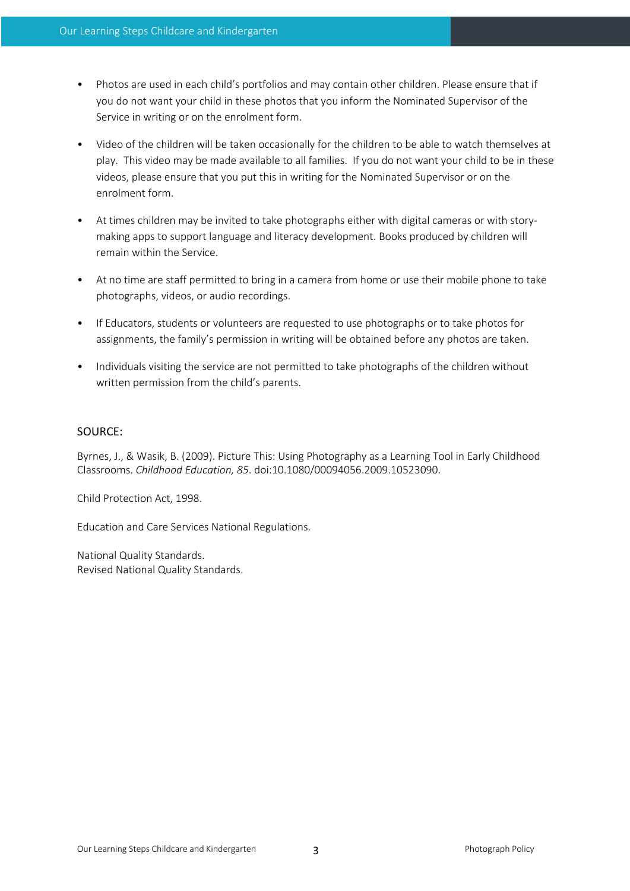- Photos are used in each child's portfolios and may contain other children. Please ensure that if you do not want your child in these photos that you inform the Nominated Supervisor of the Service in writing or on the enrolment form.
- Video of the children will be taken occasionally for the children to be able to watch themselves at play. This video may be made available to all families. If you do not want your child to be in these videos, please ensure that you put this in writing for the Nominated Supervisor or on the enrolment form.
- At times children may be invited to take photographs either with digital cameras or with storymaking apps to support language and literacy development. Books produced by children will remain within the Service.
- At no time are staff permitted to bring in a camera from home or use their mobile phone to take photographs, videos, or audio recordings.
- If Educators, students or volunteers are requested to use photographs or to take photos for assignments, the family's permission in writing will be obtained before any photos are taken.
- Individuals visiting the service are not permitted to take photographs of the children without written permission from the child's parents.

### SOURCE:

Byrnes, J., & Wasik, B. (2009). Picture This: Using Photography as a Learning Tool in Early Childhood Classrooms. *Childhood Education, 85*. doi:10.1080/00094056.2009.10523090.

Child Protection Act, 1998.

Education and Care Services National Regulations.

National Quality Standards. Revised National Quality Standards.